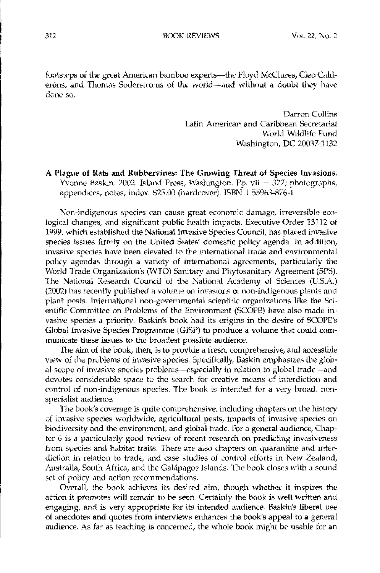312 BOOK REVIEWS Vol. 22, No.2

footsteps of the great American bamboo experts-the Floyd McClures, Cleo Calderóns, and Thomas Soderstroms of the world-and without a doubt they have done so.

> Darron Collins Latin American and Caribbean Secretariat World Wildlife Fund Washington, DC 20037-1132

## A Plague of Rats and Rubbervines: The Growing Threat of Species Invasions. Yvonne Baskin. 2002. Island Press, Washington. Pp. vii + 377; photographs, appendices, notes, index. \$25.00 (hardcover). ISBN 1-55963-876-1

Non-indigenous species can cause great economic damage, irreversible ecological changes, and significant public health impacts. Executive Order 13112 of 1999, which established the National Invasive Species Council, has placed invasive species issues firmly on the United States' domestic policy agenda. In addition, invasive species have been elevated to the international trade and environmental policy agendas through a variety of international agreements, particularly the World Trade Organization's (WTO) Sanitary and Phytosanitary Agreement (51'S). The National Research Council of the National Academy of Sciences (U.S.A.) (2002) has recently published a volume on invasions of non-indigenous plants and plant pests. International non-governmental scientific organizations like the Scientific Committee on Problems of the Environment (SCOPE) have also made invasive species a priority. Baskin's book had its origins in the desire of SCOPE's Global Invasive Species Programme (GISP) to produce a volume that could communicate these issues to the broadest possible audience.

The aim of the book, then, is to provide a fresh, comprehensive, and accessible view of the problems of invasive species. Specifically, Baskin emphasizes the global scope of invasive species problems-especially in relation to global trade-and devotes considerable space to the search for creative means of interdiction and control of non-indigenous species. The book is intended for a very broad, nonspecialist audience.

The book's coverage is quite comprehensive, induding chapters on the history of invasive species worldwide, agricultural pests, impacts of invasive species on biodiversity and the environment, and global trade. For a general audience, Chapter 6 is a particularly good review of recent research on predicting invasiveness from species and habitat traits. There are also chapters on quarantine and interdiction in relation to trade, and case studies of control efforts in New Zealand, Australia, South Africa, and the Galápagos Islands. The book closes with a sound set of policy and action recommendations.

Overall, the book achieves its desired aim, though whether it inspires the action it promotes will remain to be seen. Certainly the book is well written and engaging, and is very appropriate for its intended audience. Baskin's liberal use of anecdotes and quotes from interviews enhances the book's appeal to a general audience. As far as teaching is concerned, the whole book might be usable for an